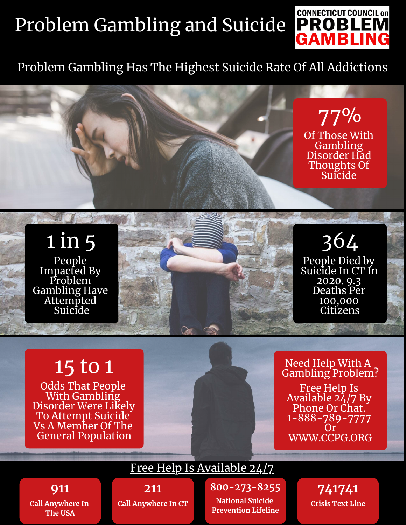# Problem Gambling and Suicide



### Problem Gambling Has The Highest Suicide Rate Of All Addictions

77% Of Those With **Gambling** Disorder Had Thoughts Of Suicide

364 People Died by Suicide In CT In 2020. 9.3 Deaths Per 100,000 Citizens

#### 1 in 5 People Impacted By Problem Gambling Have Attempted **Suicide**

## 15 to 1

Odds That People With Gambling Disorder Were Likely To Attempt Suicide Vs A Member Of The General Population



Need Help With A Gambling Problem? Free Help Is Available  $2\lambda/7$  By Phone Or Chat. 1-888-789-7777 Or WWW.CCPG.ORG

**911 Call Anywhere In The USA**

**211** Free Help Is Available 24/7

**Call Anywhere In CT**

**800-273-8255 National Suicide Prevention Lifeline**

**741741 Crisis Text Line**